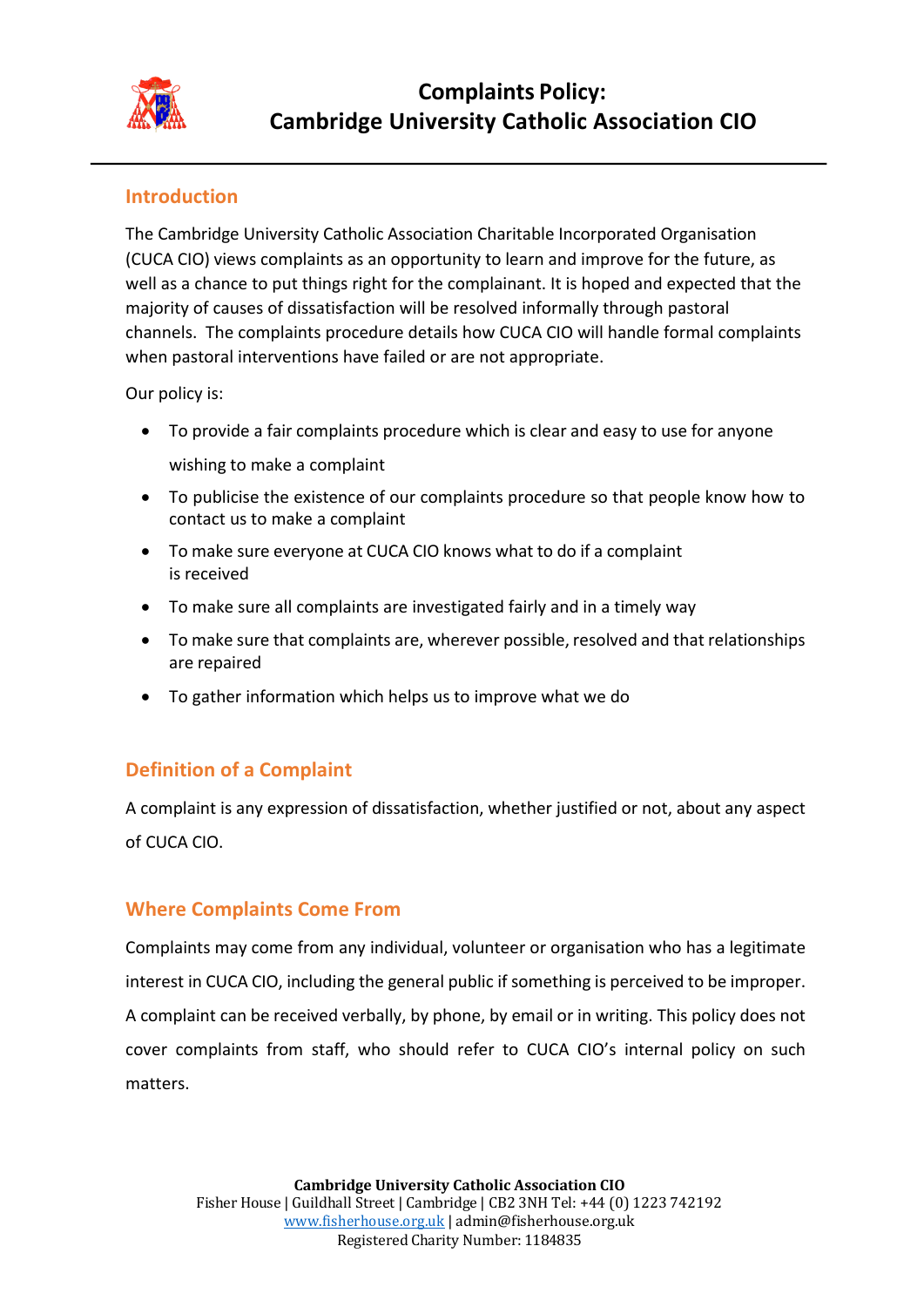

### **Introduction**

The Cambridge University Catholic Association Charitable Incorporated Organisation (CUCA CIO) views complaints as an opportunity to learn and improve for the future, as well as a chance to put things right for the complainant. It is hoped and expected that the majority of causes of dissatisfaction will be resolved informally through pastoral channels. The complaints procedure details how CUCA CIO will handle formal complaints when pastoral interventions have failed or are not appropriate.

Our policy is:

- To provide a fair complaints procedure which is clear and easy to use for anyone wishing to make a complaint
- To publicise the existence of our complaints procedure so that people know how to contact us to make a complaint
- To make sure everyone at CUCA CIO knows what to do if a complaint is received
- To make sure all complaints are investigated fairly and in a timely way
- To make sure that complaints are, wherever possible, resolved and that relationships are repaired
- To gather information which helps us to improve what we do

## **Definition of a Complaint**

A complaint is any expression of dissatisfaction, whether justified or not, about any aspect of CUCA CIO.

### **Where Complaints Come From**

Complaints may come from any individual, volunteer or organisation who has a legitimate interest in CUCA CIO, including the general public if something is perceived to be improper. A complaint can be received verbally, by phone, by email or in writing. This policy does not cover complaints from staff, who should refer to CUCA CIO's internal policy on such matters.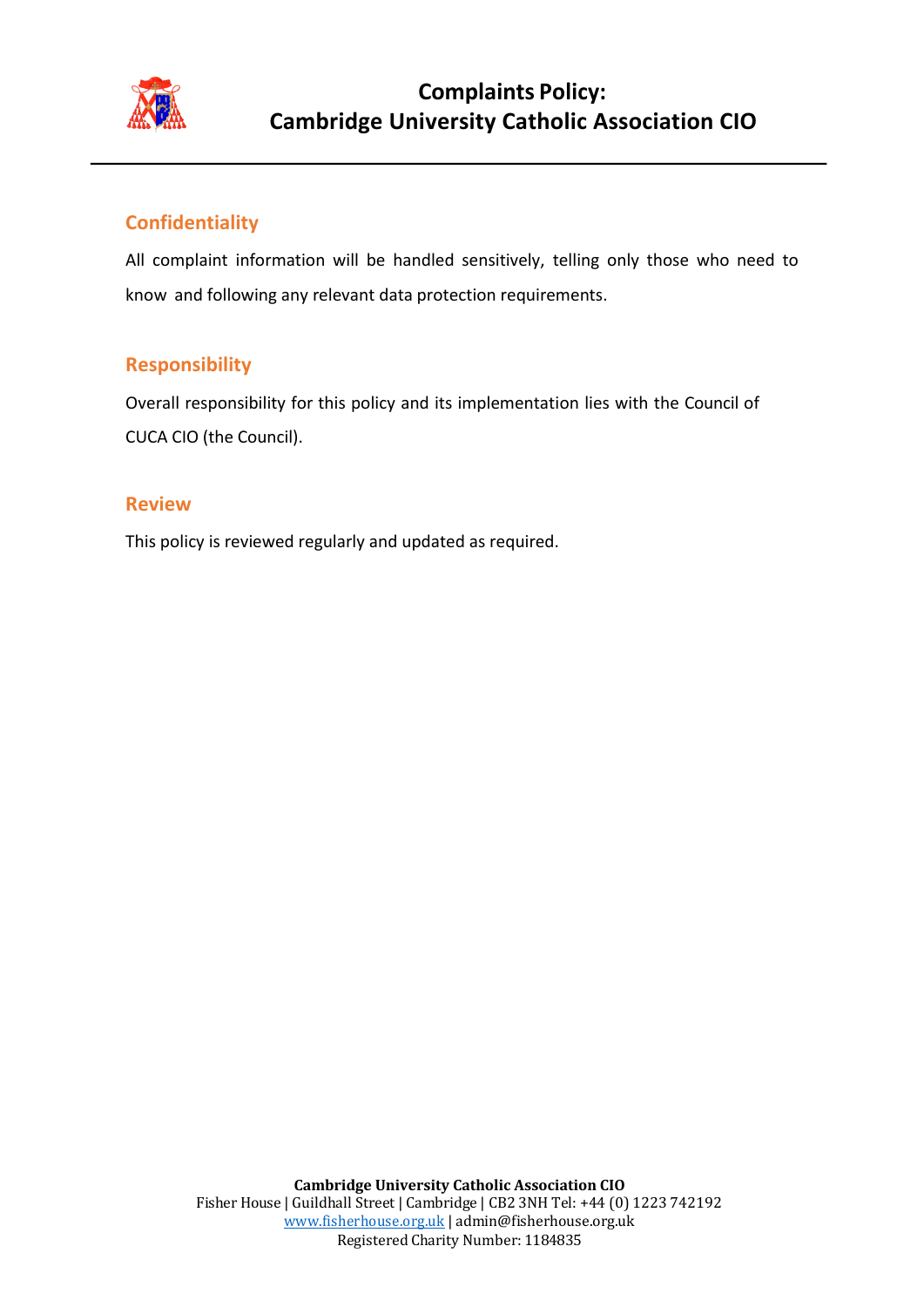

# **Complaints Policy: Cambridge University Catholic Association CIO**

## **Confidentiality**

All complaint information will be handled sensitively, telling only those who need to know and following any relevant data protection requirements.

### **Responsibility**

Overall responsibility for this policy and its implementation lies with the Council of CUCA CIO (the Council).

#### **Review**

This policy is reviewed regularly and updated as required.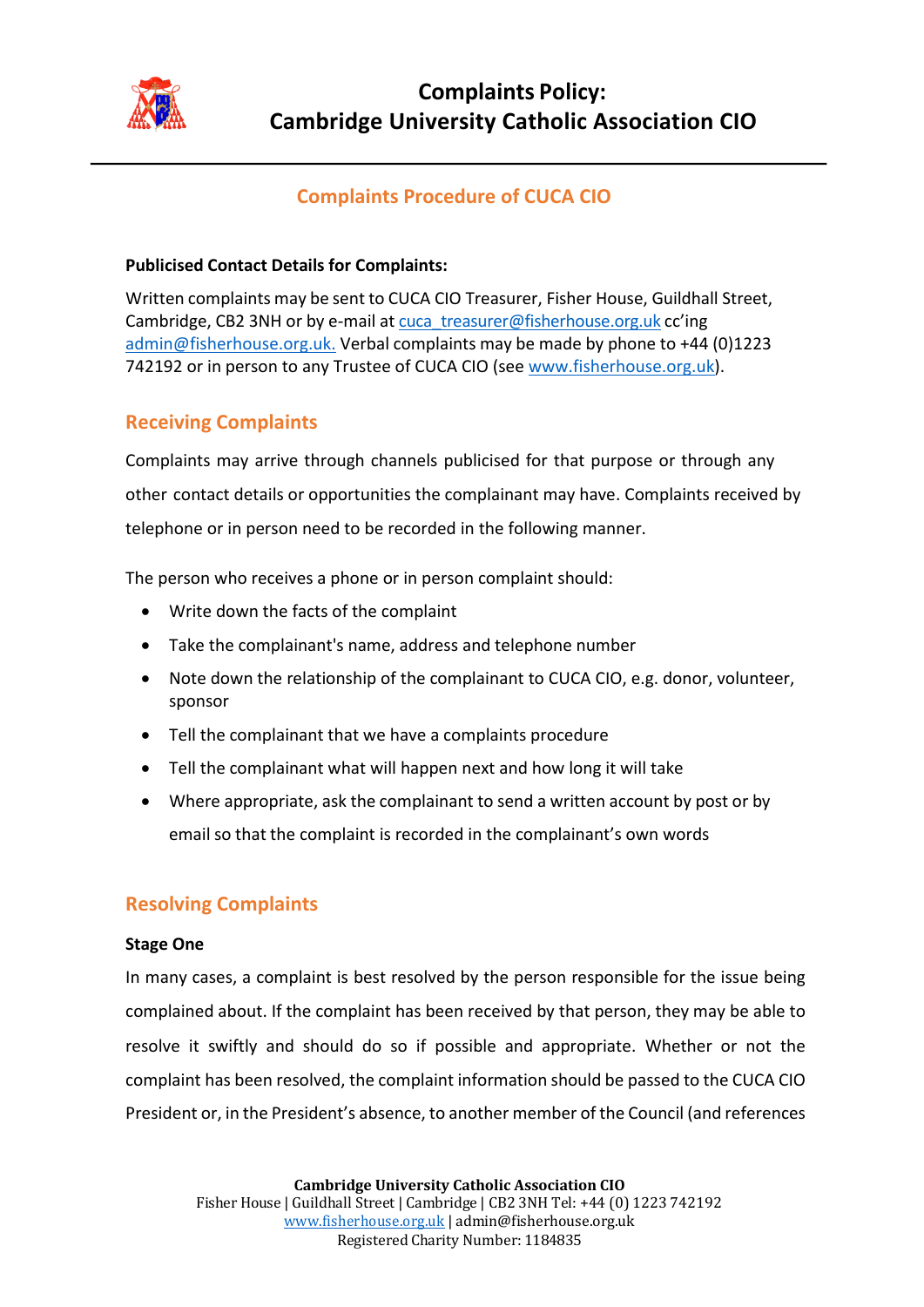

# **Complaints Procedure of CUCA CIO**

#### **Publicised Contact Details for Complaints:**

Written complaints may be sent to CUCA CIO Treasurer, Fisher House, Guildhall Street, Cambridge, CB2 3NH or by e-mail at cuca\_treasurer@fisherhouse.org.uk cc'ing admin@fisherhouse.org.uk. Verbal complaints may be made by phone to +44 (0)1223 742192 or in person to any Trustee of CUCA CIO (see www.fisherhouse.org.uk).

## **Receiving Complaints**

Complaints may arrive through channels publicised for that purpose or through any other contact details or opportunities the complainant may have. Complaints received by telephone or in person need to be recorded in the following manner.

The person who receives a phone or in person complaint should:

- Write down the facts of the complaint
- Take the complainant's name, address and telephone number
- Note down the relationship of the complainant to CUCA CIO, e.g. donor, volunteer, sponsor
- Tell the complainant that we have a complaints procedure
- Tell the complainant what will happen next and how long it will take
- Where appropriate, ask the complainant to send a written account by post or by email so that the complaint is recorded in the complainant's own words

### **Resolving Complaints**

#### **Stage One**

In many cases, a complaint is best resolved by the person responsible for the issue being complained about. If the complaint has been received by that person, they may be able to resolve it swiftly and should do so if possible and appropriate. Whether or not the complaint has been resolved, the complaint information should be passed to the CUCA CIO President or, in the President's absence, to another member of the Council (and references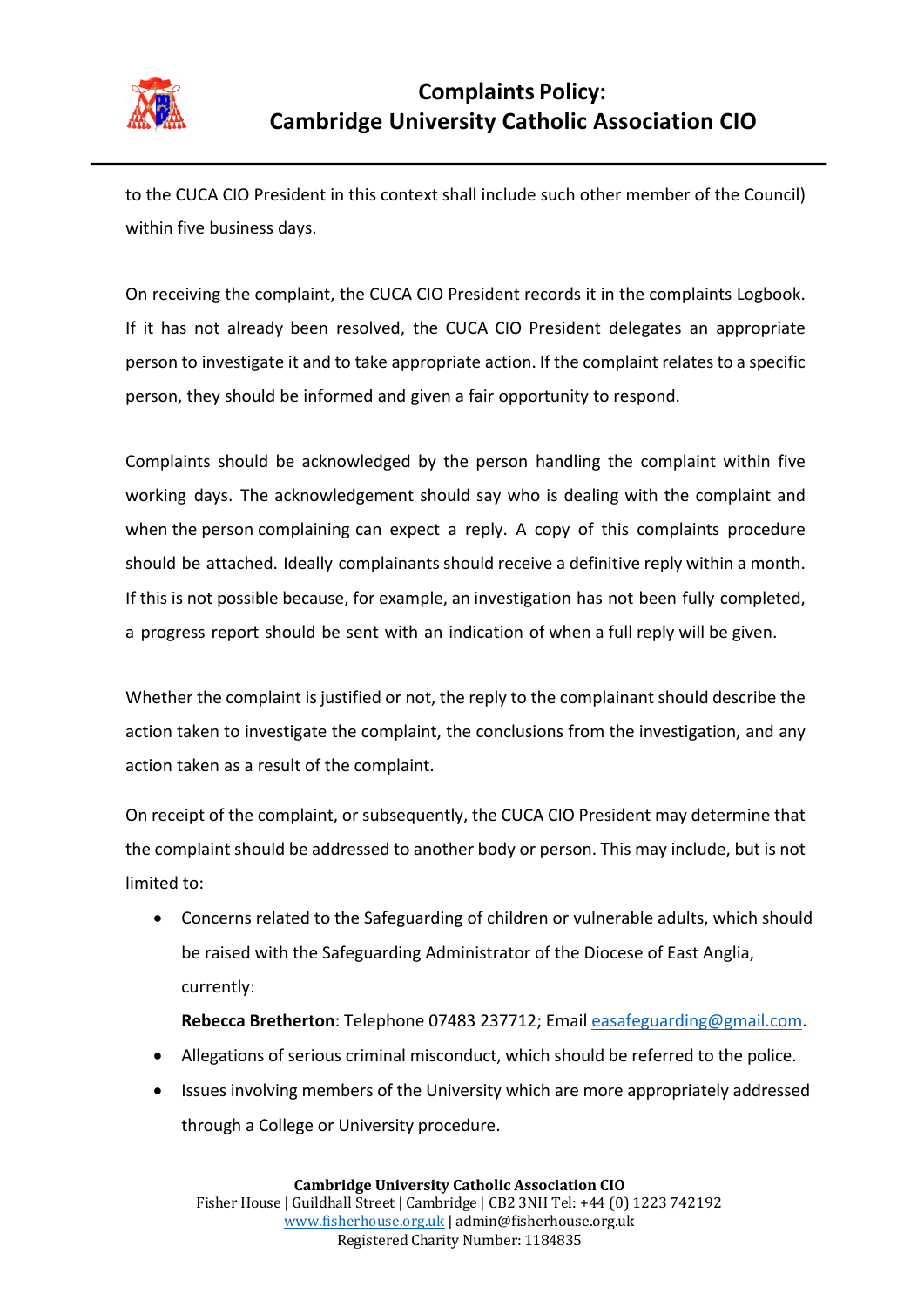

to the CUCA CIO President in this context shall include such other member of the Council) within five business days.

On receiving the complaint, the CUCA CIO President records it in the complaints Logbook. If it has not already been resolved, the CUCA CIO President delegates an appropriate person to investigate it and to take appropriate action. If the complaint relates to a specific person, they should be informed and given a fair opportunity to respond.

Complaints should be acknowledged by the person handling the complaint within five working days. The acknowledgement should say who is dealing with the complaint and when the person complaining can expect a reply. A copy of this complaints procedure should be attached. Ideally complainants should receive a definitive reply within a month. If this is not possible because, for example, an investigation has not been fully completed, a progress report should be sent with an indication of when a full reply will be given.

Whether the complaint is justified or not, the reply to the complainant should describe the action taken to investigate the complaint, the conclusions from the investigation, and any action taken as a result of the complaint.

On receipt of the complaint, or subsequently, the CUCA CIO President may determine that the complaint should be addressed to another body or person. This may include, but is not limited to:

- Concerns related to the Safeguarding of children or vulnerable adults, which should be raised with the Safeguarding Administrator of the Diocese of East Anglia, currently:
	- **Rebecca Bretherton**: Telephone 07483 237712; Email easafeguarding@gmail.com.
- Allegations of serious criminal misconduct, which should be referred to the police.
- Issues involving members of the University which are more appropriately addressed through a College or University procedure.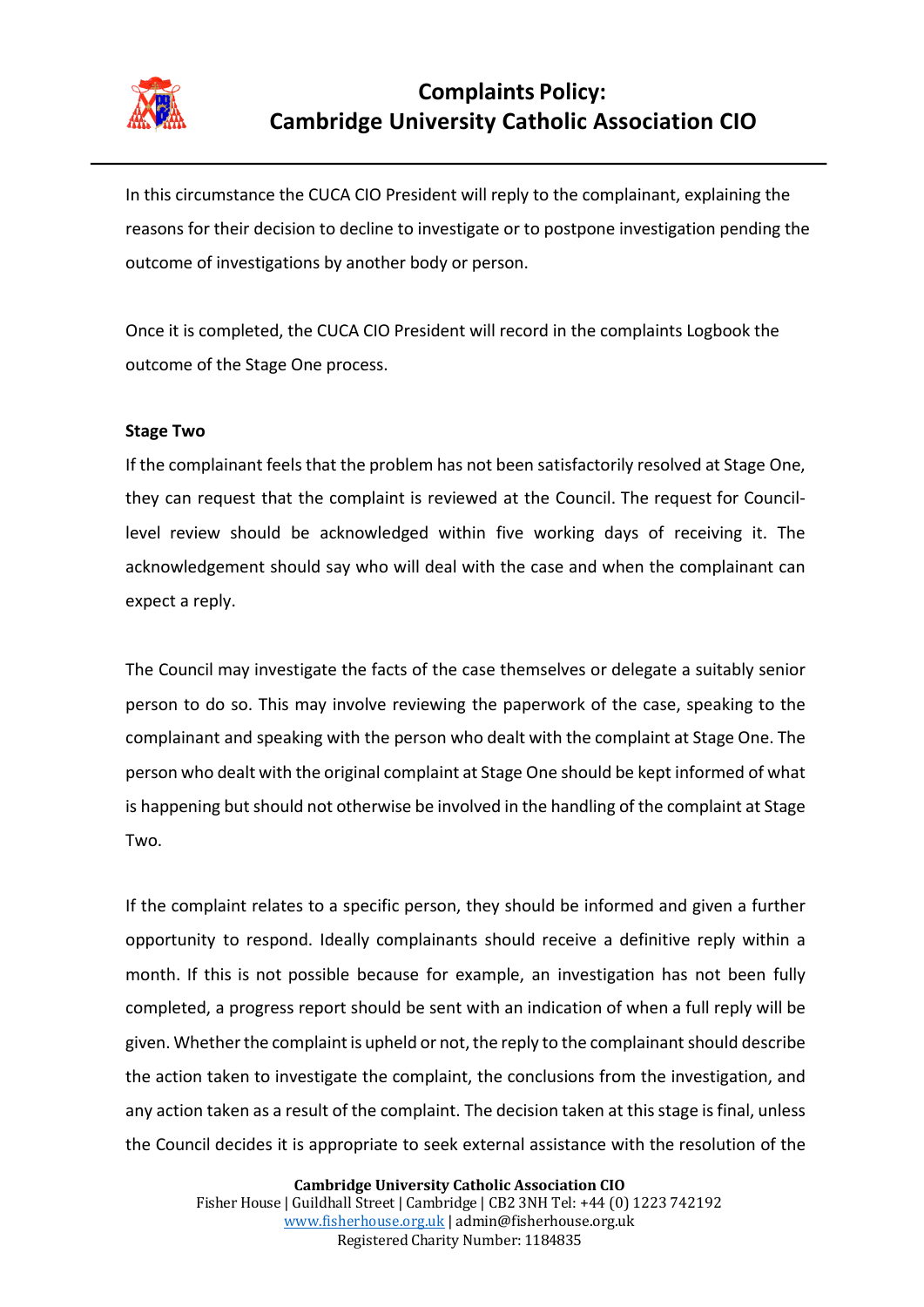

# **Complaints Policy: Cambridge University Catholic Association CIO**

In this circumstance the CUCA CIO President will reply to the complainant, explaining the reasons for their decision to decline to investigate or to postpone investigation pending the outcome of investigations by another body or person.

Once it is completed, the CUCA CIO President will record in the complaints Logbook the outcome of the Stage One process.

#### **Stage Two**

If the complainant feels that the problem has not been satisfactorily resolved at Stage One, they can request that the complaint is reviewed at the Council. The request for Councillevel review should be acknowledged within five working days of receiving it. The acknowledgement should say who will deal with the case and when the complainant can expect a reply.

The Council may investigate the facts of the case themselves or delegate a suitably senior person to do so. This may involve reviewing the paperwork of the case, speaking to the complainant and speaking with the person who dealt with the complaint at Stage One. The person who dealt with the original complaint at Stage One should be kept informed of what is happening but should not otherwise be involved in the handling of the complaint at Stage Two.

If the complaint relates to a specific person, they should be informed and given a further opportunity to respond. Ideally complainants should receive a definitive reply within a month. If this is not possible because for example, an investigation has not been fully completed, a progress report should be sent with an indication of when a full reply will be given. Whether the complaint is upheld or not, the reply to the complainant should describe the action taken to investigate the complaint, the conclusions from the investigation, and any action taken as a result of the complaint. The decision taken at this stage is final, unless the Council decides it is appropriate to seek external assistance with the resolution of the

> **Cambridge University Catholic Association CIO** Fisher House | Guildhall Street | Cambridge | CB2 3NH Tel: +44 (0) 1223 742192 www.fisherhouse.org.uk | admin@fisherhouse.org.uk Registered Charity Number: 1184835